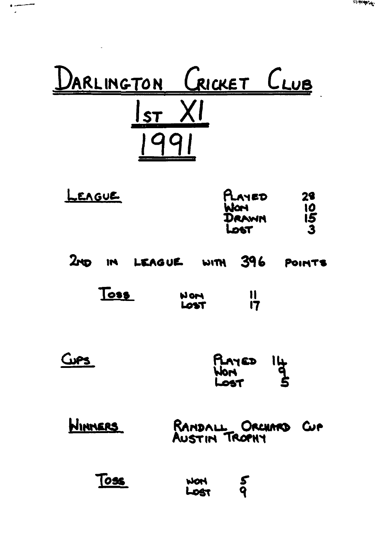

| LEAGUE | PLAYED | 28           |
|--------|--------|--------------|
|        | Worl   | 10           |
|        | DRAWN  | 15           |
|        | Lost   | $\mathbf{3}$ |

|  |  | 2ND IN LEAGUE WITH 396 POINTS |  |  |  |
|--|--|-------------------------------|--|--|--|
|--|--|-------------------------------|--|--|--|

| Toss | HOM<br>LOST | $\mathsf{I}$ |
|------|-------------|--------------|
|      |             |              |

| Cups | PLAYED<br>WON<br>Lost | $rac{1}{2}$ |
|------|-----------------------|-------------|
|      |                       |             |

| <b>WINNERS</b> | RANDALL ORCHARD CUP |  |
|----------------|---------------------|--|
|                |                     |  |

| Toss | <b>NOW</b> | 5 |
|------|------------|---|
|      | LOST       | q |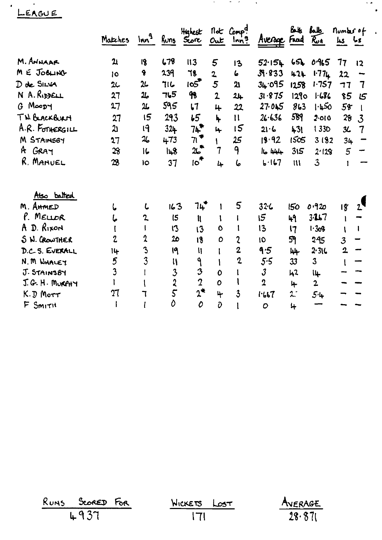LEAGUE

|                 | Matches        | Im <sup>9</sup>            | Runs                    | Highest<br>$rac{1}{2}$    | Out                     | not Comp?<br>$lnn^9$ | Avenue Fred Run | Buk                    | طلمة                    | Number of<br>$\mu s$ $\mu s$ |                          |
|-----------------|----------------|----------------------------|-------------------------|---------------------------|-------------------------|----------------------|-----------------|------------------------|-------------------------|------------------------------|--------------------------|
| M. ANHAAR       | $\mathfrak{A}$ | 18                         | 678                     | II3                       | 5                       | 13                   | 52.154          |                        | 65600965                | 77                           | 12                       |
| M E JOBLING     | 10             | 9                          | 239                     | 78                        | $\overline{\mathbf{2}}$ | 6                    | 39.833          | 424                    | 177L                    | 22                           |                          |
| D de SILVA      | 2 <sub>1</sub> | $\mu$                      | 716                     | 105                       | 5                       | 21                   | 34.095          | 1258                   | 1.757                   | 77                           | $\overline{7}$           |
| N A. RIDDELL    | 27             | 26                         | 765                     | 98                        | $\overline{2}$          | 24                   | 31.875          | 1290                   | 1.686                   | 85                           | 15                       |
| $G$ Moopy       | 27             | 26                         | 595                     | $\mathbf{L}$              | 4                       | 22                   | 27.045          | 863                    | 1.450                   | 58                           |                          |
| TH BLACKBURN    | 27             | 15                         | 293                     | 55                        | ↳                       | $\mathbf{11}$        | 26.636          | 589                    | 2.010                   | 28                           | $\mathbf{3}$             |
| A.R. FOTHERGILL | لڈ             | 19                         | $32 +$                  | 7ዹ"                       | 4                       | 15                   | $21 - 6$        | 431                    | <b>1330</b>             | 36                           | $\tau$                   |
| M STAINSBY      | 27             | $\mathfrak{A}_{\bullet}$   | 473                     | $7^{\bullet}$             |                         | 25                   | 18.92           | 1505                   | 3182                    | 34                           |                          |
| A GRAY          | $\mathfrak{B}$ | C                          | 148                     | 25                        | 7                       | 9                    | ال ابلوله       | 315                    | 2.128                   | $5\overline{)}$              | $\overline{\phantom{0}}$ |
| R. MANUEL       | 28             | lo                         | 37                      | <del>ا</del> ∕ ہ          | 4                       | 6                    | 6.167           | $\mathfrak{m}$         | $\overline{3}$          | $\mathbf{1}$                 |                          |
| Also balted     |                |                            |                         |                           |                         |                      |                 |                        |                         |                              |                          |
| M. AHMED        | L              | L                          | 163                     | ่าµ*                      |                         | 5                    | $32 - 6$        | 150                    | 0.920                   | 18                           |                          |
| P. MELLOR       | し              | 2                          | $\sqrt{5}$              | lĮ.                       | 1                       |                      | 15              | 49                     | $3 - 11 - 7$            |                              |                          |
| A D. RIXON      | $\mathbf{I}$   |                            | 13                      | 13                        | $\mathbf{o}$            |                      | 13              | 17                     | 1.308                   |                              | Ł                        |
| S N. CROWTHER   | $\overline{c}$ | $\boldsymbol{\mathcal{X}}$ | 2 <sub>0</sub>          | 18                        | $\mathbf o$             | 2                    | 10              | 59                     | 295                     | $\overline{3}$               |                          |
| D.C.S. EVERALL  | 14             | 3                          | 19                      | $\boldsymbol{\mathsf{N}}$ | l                       | $\overline{2}$       | 9.5             | 44                     | 2.31C                   | $\mathbf{2}$                 |                          |
| N.M WHALEY      | 5              | 3                          | $\mathbf{u}$            | ۹                         |                         | $\mathbf{2}$         | 5.5             | 33                     | $\overline{\mathbf{3}}$ |                              |                          |
| J. STAINSBY     | 3              |                            | $\overline{\mathbf{3}}$ | 3                         | 0                       |                      | $\mathfrak{z}$  | 42                     | կµ                      |                              |                          |
| J.G. H. MURPHY  |                |                            |                         | $\overline{2}$            | O                       |                      | $\mathbf 2$     | 4                      | $\overline{2}$          |                              |                          |
| $K.D$ Morr      | 27             |                            | $rac{2}{5}$             | $2^*$                     | 4                       | 3                    | 1.667           | $\mathfrak{L}^{\cdot}$ | 54                      |                              |                          |
| F Smith         |                |                            | Ò                       | 0                         | Ō                       |                      | $\mathcal{O}$   | 4                      |                         |                              |                          |

 $\mathcal{A}(\mathcal{A})$  , and  $\mathcal{B}(\mathcal{A})$  , and  $\mathcal{A}(\mathcal{A})$ 

 $\sim$   $\star$ 

 $\bullet$ 

 $\bar{\mathbf{r}}$ 

| RUNS SCORED FOR | WICKETS LOST | AVERAGE |
|-----------------|--------------|---------|
| 4937            | - 171        | 28.871  |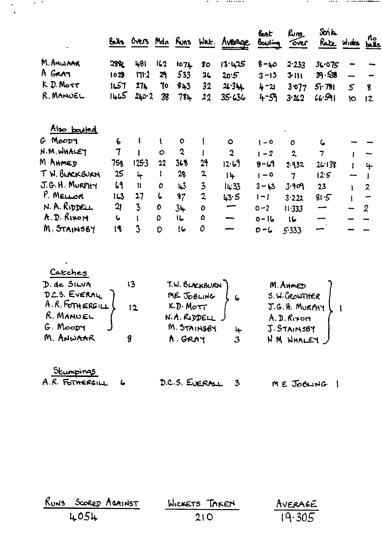|                |                  |                         |         |             |                         | Balls Overs Mdn Runs Wrt. Average | <u>bat</u><br>Bowling | மேற<br>over    | Strik<br>Rate Wides |   | no<br><b>bails</b> |
|----------------|------------------|-------------------------|---------|-------------|-------------------------|-----------------------------------|-----------------------|----------------|---------------------|---|--------------------|
| M. ANWAAR      | 2881             | 481                     | 162     | 1074        | 80                      | 13.425                            | $8 - \mu$             | 2.233          | 36.075              |   |                    |
| A GRAT         | 1028             | 171.2                   | 29      | 533         | 2 <sub>L</sub>          | 20.5                              | $3 - 13$              | 3111           | 39.536              |   |                    |
| $K$ $D.$ Mort  | 1ئ)ا             | 27 <sub>k</sub>         | 70      | 843         | 32                      | 24.344                            | 4 - ม                 | 3077           | $5r$ 781            | 5 | 8                  |
| R. MANUEL      | 1465             | 240.2                   | 38      | 78ት         | 22                      | 35.636                            | $4 - 59$              | 3.262          | 4.591               | Ю | 12                 |
| Also bouled    |                  |                         |         |             |                         |                                   |                       |                |                     |   |                    |
| G MOODY        | $\boldsymbol{6}$ |                         |         | $\bullet$   |                         | $\bullet$                         | $1 - 0$               | O              | ८                   |   |                    |
| N.M. WHALEY    | 7                |                         | $\circ$ | $\mathbf 2$ |                         | $\overline{2}$                    | $1 - 2$               | $\overline{2}$ | $\overline{7}$      |   |                    |
| M AHMED        | 75g              | 1253                    | 22      | 368         | 29                      | 12.69                             | $8 - 69$              | 2.932          | 26.138              |   | 4                  |
| TW. BURCKBURN  | 25               | 4                       | ı       | 28          | $\mathbf{z}$            | $1 +$                             | $1 - 0$               | $\overline{7}$ | 12.5                |   |                    |
| J.G. H. MURPHY | 69               | $\mathbf{u}$            | 0       | 43          | $\overline{\mathbf{3}}$ | 14:33                             | $3 - 13$              | 3.909          | 23                  | ł | $\overline{2}$     |
| P. MELLOR      | 143              | 27                      | ι       | $\sqrt{3}$  | $\mathbf{2}$            | 43.5                              | $ - $                 | 3.222          | 81.5                |   | -                  |
| N. A. RIDDELL  | 2 <sub>l</sub>   | $\overline{\mathbf{3}}$ | 0       | $3+$        | $\mathbf o$             | —<br>—                            | $0 - 2$               | 11.333         | -                   |   | $\overline{2}$     |
| A.D. Rixon     | $\bullet$        |                         | Ō.      | IG.         | $\mathbf o$             | $\overline{\phantom{0}}$          | $0 - 16$              | ما ا           |                     |   |                    |
| M. STAINSBY    | 18               | $\mathbf{3}$            | 0       | 16          | 0                       |                                   | $0 - 6$               | 5.333          |                     |   |                    |

 $\mathcal{F} = \mathcal{F} = \mathcal{F}$ 

 $\sim$ 

 $\label{eq:1} \mathbf{v}(\mathbf{z}) = \mathbf{v}(\mathbf{z}) = \mathbf{v}(\mathbf{z}) = \mathbf{v}(\mathbf{z}) + \mathbf{v}(\mathbf{z}) + \mathbf{v}(\mathbf{z}) + \mathbf{v}(\mathbf{z}) + \mathbf{v}(\mathbf{z}) + \mathbf{v}(\mathbf{z}) + \mathbf{v}(\mathbf{z}) + \mathbf{v}(\mathbf{z}) + \mathbf{v}(\mathbf{z}) + \mathbf{v}(\mathbf{z}) + \mathbf{v}(\mathbf{z}) + \mathbf{v}(\mathbf{z}) + \mathbf{v}(\mathbf{z}) + \mathbf{v$ 

 $\frac{1}{\sqrt{2}}\left(\frac{1}{\sqrt{2}}\right)^{2}=\frac{1}{2}\left(\frac{1}{\sqrt{2}}\right)^{2}$ 

| D. de SILVA        | 13  | T.W. BLACKBURN       |   | M. AHMED      |  |
|--------------------|-----|----------------------|---|---------------|--|
| D.C.S. EVERAL      |     | ME JOBLING           |   | S.W. CROWTHER |  |
| $A.R.$ FOTH ERGILL | 2 ا | K.D. M <sub>OT</sub> |   | J.G.H. MURPHY |  |
| R. MANUEL          |     | N.A.RIDDELL.         |   | A.D.Ruxon     |  |
| $G.$ Moopy         |     | M. STAINSBY          | ↳ | J. STAINSBY   |  |
| M. ANWAAR          |     | A. GRAY              | 3 | NM WHALEY     |  |

| Stumpings       |                  |            |
|-----------------|------------------|------------|
| A.R. FOTHERGILL | D.C.S. EVERALL 3 | ME JOBLING |

| RUNS SCORED AGAINST | WICKETS TAKEN | AVERAGE |
|---------------------|---------------|---------|
| 4054                | 210           | 19.305  |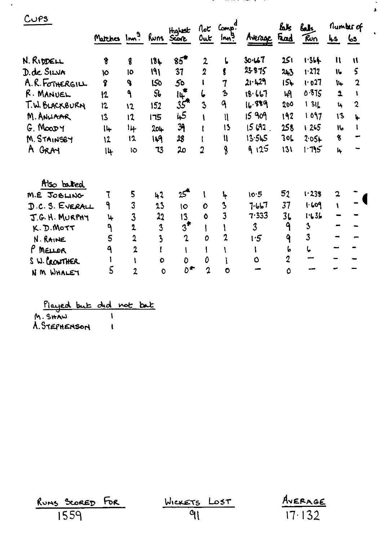| $CU$ PS         | Hightst<br>Matches Inn <sup>9</sup> Runs Score |                  |                         |                | Out            | not Comp.<br>Inn?       | Avenue Frad    | ልኤ             | <u>laky</u><br>Fun | $\frac{Ls}{s}$ $\frac{Ls}{s}$ | flumber of     |
|-----------------|------------------------------------------------|------------------|-------------------------|----------------|----------------|-------------------------|----------------|----------------|--------------------|-------------------------------|----------------|
| N. RIDDELL      | 8                                              | $\boldsymbol{q}$ | 18 <sub>k</sub>         | $85^{\circ}$   | $\mathbf{2}$   | ι                       | 30.467         | 251            | 1.354              | $\mathbf{1}$                  | $\mathbf{u}$   |
| D. de SILVA     | 10                                             | 10               | 191                     | 37             | $\overline{2}$ | g                       | 23875          | 243            | 1.272              | $\mathbf{L}$                  | 5              |
| A.R. FOTHERGILL | $\mathbf 3$                                    | <b>q</b>         | 150                     | 50             |                | 7                       | 21.429         | 156            | 1.027              | 14                            | $\overline{2}$ |
| R. MANUEL       | 12                                             | $\mathbf{A}$     | 56                      | $I_{+}$        | 6              | $\ddot{\mathbf{z}}$     | 18.667         | મ્ન            | 0.875              | $\overline{\mathbf{r}}$       | 1              |
| T.W. BLACKBURN  | 12                                             | $\mathbf{12}$    | 152                     | 35             | $\overline{3}$ | 9                       | 16.889         | 200            | 131                | 14                            | $\mathbf{2}$   |
| M. ANUAAR       | 13                                             | 12               | 175                     | 45             |                | $\mathfrak n$           | 15 909         | 192            | 1097               | 13                            | Ļ.             |
| $G.$ Moop $Y$   | 14                                             | 14               | 204                     | 39             |                | 13                      | 15692          | 258            | 1 265              | الا                           | 1              |
| M. STAINSBY     | 12                                             | 12               | 149                     | 28             |                | $\mathfrak u$           | 13.545         | 306            | $2.05+$            | 8                             |                |
| A GRAY          | $  \psi$                                       | <b>IO</b>        | 73                      | 20             | 2              | 8                       | 9125           | 131            | $1 - 795$          | 4                             |                |
| Also bated      |                                                |                  |                         |                |                |                         |                |                |                    |                               |                |
| M.E JOBLING     | ٦                                              | 5                | 42                      | $25^{\circ}$   | V              | Կ                       | 10.5           | 52             | 1.238              | 2                             |                |
| D.C.S. EVERALL  | ۹                                              | 3                | 23                      | $\overline{O}$ | $\mathbf O$    | $\overline{\mathbf{3}}$ | 7.657          | 37             | 1.609              | $\mathbf{I}$                  |                |
| J.G. H. MURPHY  | 4                                              | $\overline{3}$   | 22                      | 13             | Ō              | 3                       | 7.333          | 3 <sub>b</sub> | 1.636              |                               |                |
| K.D.Mott        | ٩                                              | 2                | 3                       | $3^*$          |                |                         | $\overline{3}$ | ٩              | 3                  |                               |                |
| N. RAINE        | 5                                              | $\overline{2}$   | $\overline{\mathbf{3}}$ | $\overline{2}$ | O              | 2                       | 1.5            | 9              | 3                  |                               |                |
| P MELLOR        | ٩                                              | $\mathbf{2}$     |                         |                | L              | ١                       | I.             | 6              | L                  |                               |                |
| S W. CROWTHER   | 1                                              | $\mathbf{I}$     | O                       | D              | 0              | ì                       | O              | $\overline{2}$ |                    |                               |                |
| N M WHALEY      | $\overline{5}$                                 | $\overline{2}$   | $\mathbf 0$             | $D^{\bigstar}$ | $\overline{a}$ | $\ddot{\mathbf{O}}$     |                | Ô              |                    |                               |                |
|                 |                                                |                  |                         |                |                |                         |                |                |                    |                               |                |

÷

and the second company of the second company of the second company of the second company of the second company of the second company of the second company of the second company of the second company of the second company o

 $\omega$ 

 $\hat{\mathbf{r}}$ 

 $\hat{\mathbf{r}}$ 

| Played but did not but |  |  |
|------------------------|--|--|
| M. SHAW                |  |  |
| A. STEPHENSON          |  |  |

 $\langle \rangle$ 

| RUNS SCORED FOR | WICKETS LOST | AVERAGE |
|-----------------|--------------|---------|
| 1559            |              | 17.132  |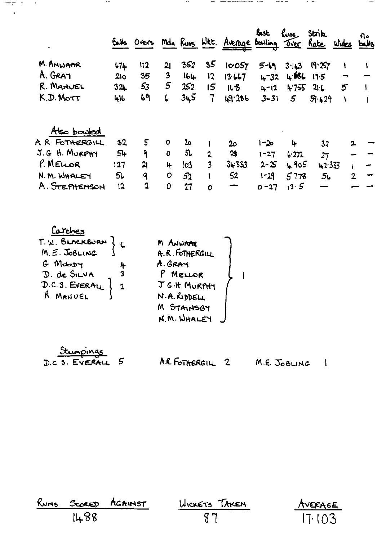|                |      | Overs            |              |     |              | Mda Runs Wat. Average Bowling Over Rate | Bast     | $\mathcal{L}_{\mathsf{uns}}$ | <b>Strik</b> | Wides          | Aо<br>balls |   |
|----------------|------|------------------|--------------|-----|--------------|-----------------------------------------|----------|------------------------------|--------------|----------------|-------------|---|
| M. ANWAAR      | 174  | $\mathfrak{u}_2$ | 21           | 352 | 35           | 10.057                                  | $5 - 19$ | 3.113                        | 19.257       | Ł              |             |   |
| A. GRAT        | 210  | 35               | 3            | 16L | 12           | 13.667                                  | $4 - 32$ | 1.686                        | 11.5         |                |             |   |
| R. MANUEL      | 32   | 53               | 5            | 252 | 15           | 168                                     | $4 - 12$ | 4755                         | 21L          | 5              |             |   |
| K.D. MOTT      | 416  | 69               | 6            | 345 | 7            | 49.286                                  | $3 - 31$ | $5^{\circ}$                  | 59.129       | V              |             |   |
| Also bowled    |      |                  |              |     |              |                                         |          |                              |              |                |             |   |
| A R FOTHERGILL | 32   | 5                | $\mathbf{o}$ | 20  |              | 20                                      | $1 - 20$ | 4                            | 32           |                |             |   |
| J.G H. MURPHY  | $5+$ | ۹                | $\mathbf{O}$ | 56  | 2            | $\boldsymbol{\mathfrak{B}}$             | 1-27     | 6.222                        | 27           |                |             |   |
| P. MELOR       | 127  | 21               | 4            | lo3 | 3            | 34.333                                  | $2 - 25$ | 405                          | 42.333       |                |             |   |
| N. M. WHALEY   | 5Ļ   | ٩                | 0            | 52  | $\mathbf{I}$ | 52                                      | $1 - 29$ | 5778                         | 5۷           | $\overline{2}$ |             | - |
| A. STEPHENSON  | 12   | $\mathfrak 2$    | 0            | 27  | O            |                                         | $0 - 27$ | 13.5                         |              |                |             |   |

 $-$ 

and a search and the following company and the company of the company of the company of the company of the company of the company of the company of the company of the company of the company of the company of the company of

 $- - -$ 

 $\sim$ 

Carches<br>T.W. BLACKBURN ? C J. de SILVA<br>D. de SILVA 3<br>D.C.S. EVERALL } 2<br>R MANUEL

 $\sim$   $-$ 

| m Anw <del>rne</del> |  |
|----------------------|--|
| A.R. FOTHERGILL      |  |
| A. GRAY              |  |
| P MELLOR             |  |
| J G.H MURPHY         |  |
| N.A. RIDDELL         |  |
| M STAINSBY           |  |
| N.M. WHALEY          |  |

|  | Stumpings       |   |
|--|-----------------|---|
|  | D.C. S. EVERALL | 5 |

mt in

 $\sim$   $\sim$ 

A.R. FOTHERGILL 2 M.E. JOBLING 1

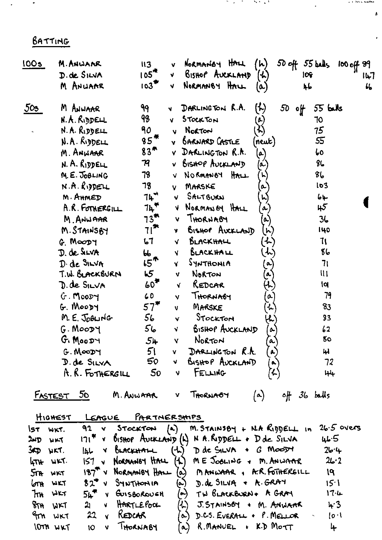BATTING

 $\mathcal{A}$ 

 $\bullet$ 

| 100s            | M. ANWANR                                 | II3                                    | NORMANOY HALL<br>$50$ off $55$ bells<br>(ん)<br>100 of 89<br>v                      |
|-----------------|-------------------------------------------|----------------------------------------|------------------------------------------------------------------------------------|
|                 | D. de SILVA                               | 105 <sup>4</sup>                       | BISHOP AUCKLAND<br>$\mathcal{L}$<br>10 <sub>f</sub><br>v.<br>ルフ                    |
|                 | M ANUAAR                                  | $103$ <sup><math>\text{F}</math></sup> | NORMANBY HALL<br>ц,<br>46<br>V.<br>(ಒ)                                             |
| 503             | M ANWAAR                                  | 99                                     | DARLINGTON R.A.<br>$\left(\mathcal{H}\right)$<br>50<br>55 <b>bulls</b><br>∘⊬<br>N. |
|                 | N.A. RIDDELL                              | 98                                     | STOCKTON<br>70<br>v                                                                |
|                 | N. A. RIDDELL                             | 90                                     | 75<br>Norton<br>v                                                                  |
|                 | N.A. RIDDELL                              | $85^{*}$                               | 55<br><b>BARNARD CASTLE</b><br>(neuk)                                              |
|                 | M. ANWAAR                                 | 83 <sup>7</sup>                        | DARLINGTON R.A.<br>60<br>$\left( \mathbf{a}\right)$                                |
|                 | N. A. RIDDELL                             | 79                                     | BISHOP AUCKLAND<br>86<br>(م                                                        |
|                 | M.E. JOBLING                              | 78                                     | $\mathcal{E}$<br>NORMANOY HALL<br>V                                                |
|                 | $N.A.$ RIDDELL                            | 78                                     | lo3<br>MARSKE<br>$\boldsymbol{\alpha}$<br>v                                        |
|                 | M. AHMED                                  | ገኑ <sup>።</sup>                        | SALTBURN<br>h,<br>64<br>V.                                                         |
|                 | A.R. FOTHERGILL                           | 74 م                                   | 45<br>NORMAN BY HALL<br>N.<br>$\boldsymbol{\alpha}$                                |
|                 | M. ANWAAR                                 | $73^{\text{th}}$                       | <b>THORNABY</b><br>36<br>v<br>A)                                                   |
|                 | M. STAINSBY                               | דן "                                   | BISHOP AUCKLAND<br>140<br>$\left(\boldsymbol{\mathsf{h}}\right)$<br>V.             |
|                 | G. MOODY                                  | 67                                     | ٦١<br>BLACKHALL<br>$\left( \begin{matrix} 1 \end{matrix} \right)$<br>V.            |
|                 | D. de SILVA                               | မြ                                     | 86<br>BLACKHALL<br>だ<br>V                                                          |
|                 | D. de SILVA                               | $5^{\circ}$                            | AIHOHTHY<br>71<br>Y<br>$\sim$                                                      |
|                 | T.W. BLACKBURN                            | 65                                     | $\mathbf{u}$<br>NORTON<br>٧<br>بم                                                  |
|                 | D. de SILVA                               | $60^{\text{T}}$                        | REDCAR<br><b>l</b><br>$\mathcal{F}$<br>V.                                          |
|                 | $G.$ MOODY                                | 60                                     | 79<br><b>THORNABY</b><br>$\alpha$<br>v                                             |
|                 | G. MOODY                                  | 57"                                    | MARSKE<br>83<br>$\ddot{\phantom{a}}$<br>V.                                         |
|                 | M. E. JOBLING                             | 56                                     | Stocktor<br>83<br>v                                                                |
|                 | G. MOODY                                  | 56                                     | <b>BISHOP AUCKLAND</b><br>$\frac{1}{2}$<br>N,<br>o-                                |
|                 | G. MOODY                                  | 54                                     | Norton<br>80<br>$\boldsymbol{\lambda}$<br>Y                                        |
|                 | G. MOODY                                  | 51 L                                   | $(\lambda)$<br>V DARLINGTON R.A.<br>44                                             |
|                 | D. de SILVA                               | 50 -                                   | V BISHOP AUCKLAND<br>72<br>R)                                                      |
|                 | A.R. FOTHERGILL                           | 50                                     | V FELLING<br>$H +$                                                                 |
|                 | <u>Fastest 50</u>                         | M. ANWAAR                              | $\left(\alpha\right)$<br>V THORNAOY<br>off 36 balls                                |
| HIGHEST         | LEAGUE PARTNERSHIPS                       |                                        |                                                                                    |
| IST WKT.        | 92 v Stockton (a)                         |                                        | $M.$ STAINSBY + NA RIDDELL In 26.5 overs                                           |
| $24D$ $4K$      |                                           |                                        | $171^*$ v Bishop Avekering (L) N A. Ripper + D de SILVA 46.5                       |
| $3$ KD WKT.     | $I_{4}L \times 6$ uncertain               |                                        | $(A)$ D de SILVA + G MooDY<br>26.4                                                 |
| $474$ WKT.      | 157 v Normansy HALL                       |                                        | $(4)$ ME JOOLING + M. ANWAAR $26.2$                                                |
|                 | 5TA WKT                                   |                                        | $187^T$ V Normmey HALL $(a)$ MANWAAR, A.R. FOTHERGILL 19                           |
|                 | GTH WKT 82 <sup>*</sup> V SYNTHONIA       |                                        | $(a)$ D. de SILVA + $A. GRA$<br>15.1                                               |
|                 | $54^{\text{F}}$ v GUISBOROUGH<br>$7m$ WKT |                                        | (a) TW BLACKBURN+ A GRAY<br>17.4                                                   |
|                 | $21$ v HARTLEPOOL<br>8TH WKT              |                                        | $(L)$ J.STAINSBY + M. ANWAAR<br>4.3                                                |
| 9rn WKT         | $22$ $\sqrt{8}$ REDCAR                    |                                        | $\alpha$                                                                           |
| <b>IOTH WKT</b> | V THORNABY<br><b>IO</b>                   |                                        | R. MANUEL + K.D MOTT<br>4<br>$\infty$                                              |

**CONTRACTOR** 

 $\ddot{\phantom{a}}$ 

 $\hat{\mathbf{v}}$ 

 $\hat{\pmb{r}}$ 

**ALL INNER HARDER**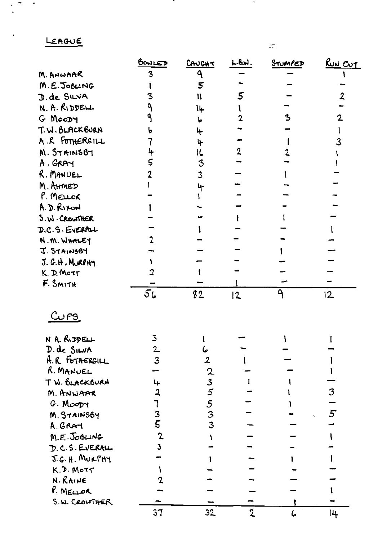LEAGUE

 $\frac{1}{1}$ 

 $\ddot{\phantom{a}}$ 

|                 | BOWLED         | <u>CAUCHT</u>    | LBM.           | STUMPED | <u>RUN OUT</u>  |
|-----------------|----------------|------------------|----------------|---------|-----------------|
| M. ANWAAR       |                | ٩                |                |         |                 |
| M.E.JOBLING     |                | 5                |                |         |                 |
| D. de SILVA     |                | $\mathbf{u}$     | 5              |         |                 |
| N. A. RIDDELL   |                | 14               |                |         |                 |
| G MOODY         |                | 6                |                | 3       |                 |
| T.W. BLACKBURN  |                | 4                |                |         |                 |
| A.R FOTHERGILL  |                | 4                |                |         | 3               |
| M. STAINSBY     |                | 16               |                |         |                 |
| A. GRAY         |                | 3                |                |         |                 |
| R. MANUEL       |                | $\overline{3}$   |                |         |                 |
| M. AHMED        |                |                  |                |         |                 |
| P. MELLOR       |                |                  |                |         |                 |
| A.D. RIXON      |                |                  |                |         |                 |
| S. W. CROWTHER  |                |                  |                |         |                 |
| D.C.S. EVERPLL  |                |                  |                |         |                 |
| N.M. WHALEY     |                |                  |                |         |                 |
| J. STAINSBY     |                |                  |                |         |                 |
| J. G.H. MURPHY  |                |                  |                |         |                 |
| K. D. MOTT      |                |                  |                |         |                 |
| F. SMITH        |                |                  |                |         |                 |
|                 | $\overline{5}$ | 82               | $\overline{2}$ | ٩       | 12              |
| <u>دى بر ك</u>  |                |                  |                |         |                 |
| N A. RIDDELL    | 3              |                  |                |         |                 |
| D. de SILVA     | $\mathbf{2}$   | 6                |                |         |                 |
| A.R. FOTHERGILL | 3              | $\boldsymbol{z}$ |                |         |                 |
| R. MANUEL       |                |                  |                |         |                 |
| TW. BLACKBURN   | 4              | $\frac{2}{5}$    |                |         |                 |
| M. ANWAAR       | 2              |                  |                |         | 3               |
| G. Moopy        |                | $\frac{5}{3}$    |                |         |                 |
| M. STAINSBY     | 3              |                  |                |         | $5\overline{)}$ |
| A. GRAT         | 5              | 3                |                |         |                 |
| $M.E.$ JOBLING  | $\mathbf 2$    |                  |                |         |                 |
| D.C.S. EVERALL  | 3              |                  |                |         |                 |
| J.G. H. MURPHY  |                |                  |                |         |                 |
| $K.D.$ Motr     |                |                  |                |         |                 |
| N. RAINE        |                |                  |                |         |                 |
| P. MELLOR       |                |                  |                |         |                 |
| S.W. CROWTHER   |                |                  |                |         |                 |
|                 | 37             | 32               | $\mathbf 2$    | ها      | 14              |

<u>т</u>

 $\langle \rangle$ 

 $\pm\pi$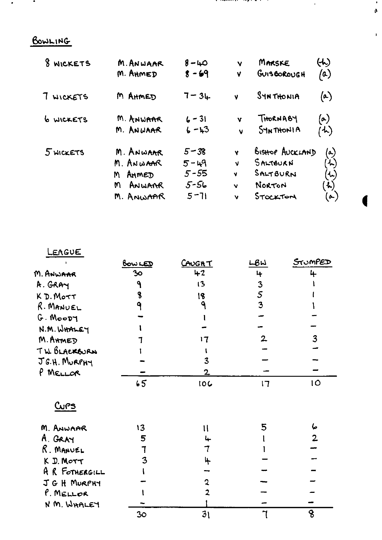$\bullet$  $\hat{\mathbf{p}}$ 

 $\mathbf{r}$ 

## BOWLING

 $\bullet$ 

 $\bullet$ 

| 8 WICKETS        | M. ANWAAR                                                        | $8 - 40$                                                 | Y                      | MARSKE                                                               | (h)                                                                                                                     |
|------------------|------------------------------------------------------------------|----------------------------------------------------------|------------------------|----------------------------------------------------------------------|-------------------------------------------------------------------------------------------------------------------------|
|                  | M. AHMED                                                         | $8 - 69$                                                 | ٧                      | GUISBOROUGH                                                          | $\bf{^{\prime}}$ a)                                                                                                     |
| 7 WICKETS        | M AHMED                                                          | $7 - 34$                                                 | V                      | SYNTHONIA                                                            | (a)                                                                                                                     |
| <b>6 WICKETS</b> | M. ANWAAR                                                        | $6 - 31$                                                 | v                      | THORNABY                                                             | (a)                                                                                                                     |
|                  | M. ANWAAR                                                        | $6 - 43$                                                 | M                      | <b>SHN THONIA</b>                                                    | $\mathcal{L}$                                                                                                           |
| 5 WICKETS        | M. ANWAAR<br>M. ANWAAR<br>AHMED<br>M<br>ANWARR<br>m<br>M. ANWAAR | $5 - 38$<br>$5 - 49$<br>$5 - 55$<br>$5 - 56$<br>$5 - 71$ | Ý<br>V<br>¥.<br>v<br>ν | BISHOP AUCKLAND<br>SALTBURN<br>$S$ ALT $B$ URN<br>NORTON<br>STOCKTON | $\left( \bullet \right)$<br>゙ん)<br>$\left(\begin{smallmatrix} 1\\ 1\\ 1\\ \end{smallmatrix}\right)$<br><b>ん)</b><br>(d) |

| LEAGUE         |                |                |              |                |
|----------------|----------------|----------------|--------------|----------------|
|                | <u>bow LED</u> | <u>CAUGHT</u>  | LBW          | STUMPED        |
| M. ANWAAR      | 30             | $+2$           | 4            | 4              |
| A. GRAY        | ٩              | 13             | 3            |                |
| K D. MOTT      | 8              | 18             | 5            |                |
| R. MANUEL      |                | ٩              | 3            |                |
| $G.$ Moopy     |                |                |              |                |
| N.M. WHALEY    |                |                |              |                |
| M. AHMED       |                | 17             | $\mathbf{2}$ | 3              |
| TW. BLACKEURN  |                |                |              |                |
| J.G.H. MURPHY  |                | 3              |              |                |
| P MELLOR       |                | 2              |              |                |
|                | 65             | 106            | 17           | 10             |
| <u>Curs</u>    |                |                |              |                |
| M. ANWAAR      | 13             | $\mathfrak{t}$ | 5            | 6              |
| A. GRAY        | 5              |                |              | $\overline{2}$ |
| R. MANUEL      | 7              | 7              |              |                |
| K D. MOTT      | 3              | 4              |              |                |
| A R FOTMERGILL |                |                |              |                |
| J G H MURPHY   |                | 2              |              |                |
| P. MELLOR      |                | 2              |              |                |
| N M. WHALEY    |                |                |              |                |
|                | 3 <sub>o</sub> | 3 <sub>1</sub> |              | 8              |